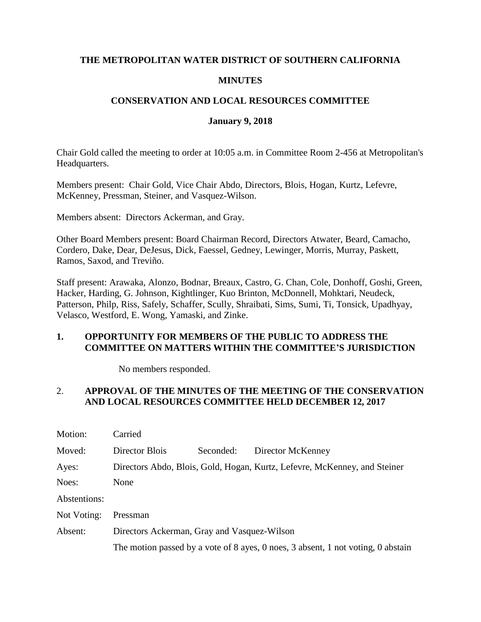#### **THE METROPOLITAN WATER DISTRICT OF SOUTHERN CALIFORNIA**

### **MINUTES**

### **CONSERVATION AND LOCAL RESOURCES COMMITTEE**

#### **January 9, 2018**

Chair Gold called the meeting to order at 10:05 a.m. in Committee Room 2-456 at Metropolitan's Headquarters.

Members present: Chair Gold, Vice Chair Abdo, Directors, Blois, Hogan, Kurtz, Lefevre, McKenney, Pressman, Steiner, and Vasquez-Wilson.

Members absent: Directors Ackerman, and Gray.

Other Board Members present: Board Chairman Record, Directors Atwater, Beard, Camacho, Cordero, Dake, Dear, DeJesus, Dick, Faessel, Gedney, Lewinger, Morris, Murray, Paskett, Ramos, Saxod, and Treviño.

Staff present: Arawaka, Alonzo, Bodnar, Breaux, Castro, G. Chan, Cole, Donhoff, Goshi, Green, Hacker, Harding, G. Johnson, Kightlinger, Kuo Brinton, McDonnell, Mohktari, Neudeck, Patterson, Philp, Riss, Safely, Schaffer, Scully, Shraibati, Sims, Sumi, Ti, Tonsick, Upadhyay, Velasco, Westford, E. Wong, Yamaski, and Zinke.

### **1. OPPORTUNITY FOR MEMBERS OF THE PUBLIC TO ADDRESS THE COMMITTEE ON MATTERS WITHIN THE COMMITTEE'S JURISDICTION**

No members responded.

## 2. **APPROVAL OF THE MINUTES OF THE MEETING OF THE CONSERVATION AND LOCAL RESOURCES COMMITTEE HELD DECEMBER 12, 2017**

| Motion:      | Carried                                                                          |           |                   |
|--------------|----------------------------------------------------------------------------------|-----------|-------------------|
| Moved:       | Director Blois                                                                   | Seconded: | Director McKenney |
| Ayes:        | Directors Abdo, Blois, Gold, Hogan, Kurtz, Lefevre, McKenney, and Steiner        |           |                   |
| Noes:        | None                                                                             |           |                   |
| Abstentions: |                                                                                  |           |                   |
| Not Voting:  | Pressman                                                                         |           |                   |
| Absent:      | Directors Ackerman, Gray and Vasquez-Wilson                                      |           |                   |
|              | The motion passed by a vote of 8 ayes, 0 noes, 3 absent, 1 not voting, 0 abstain |           |                   |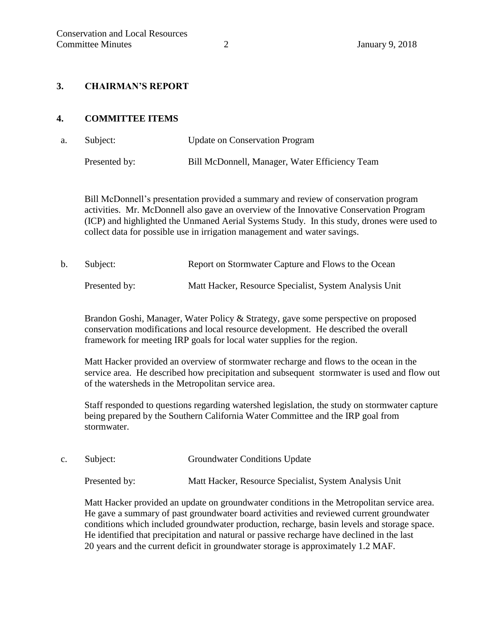#### **3. CHAIRMAN'S REPORT**

#### **4. COMMITTEE ITEMS**

a. Subject: Update on Conservation Program Presented by: Bill McDonnell, Manager, Water Efficiency Team

Bill McDonnell's presentation provided a summary and review of conservation program activities. Mr. McDonnell also gave an overview of the Innovative Conservation Program (ICP) and highlighted the Unmaned Aerial Systems Study. In this study, drones were used to collect data for possible use in irrigation management and water savings.

b. Subject: Report on Stormwater Capture and Flows to the Ocean Presented by: Matt Hacker, Resource Specialist, System Analysis Unit

Brandon Goshi, Manager, Water Policy & Strategy, gave some perspective on proposed

conservation modifications and local resource development. He described the overall framework for meeting IRP goals for local water supplies for the region.

Matt Hacker provided an overview of stormwater recharge and flows to the ocean in the service area. He described how precipitation and subsequent stormwater is used and flow out of the watersheds in the Metropolitan service area.

Staff responded to questions regarding watershed legislation, the study on stormwater capture being prepared by the Southern California Water Committee and the IRP goal from stormwater.

c. Subject: Groundwater Conditions Update

Presented by: Matt Hacker, Resource Specialist, System Analysis Unit

Matt Hacker provided an update on groundwater conditions in the Metropolitan service area. He gave a summary of past groundwater board activities and reviewed current groundwater conditions which included groundwater production, recharge, basin levels and storage space. He identified that precipitation and natural or passive recharge have declined in the last 20 years and the current deficit in groundwater storage is approximately 1.2 MAF.